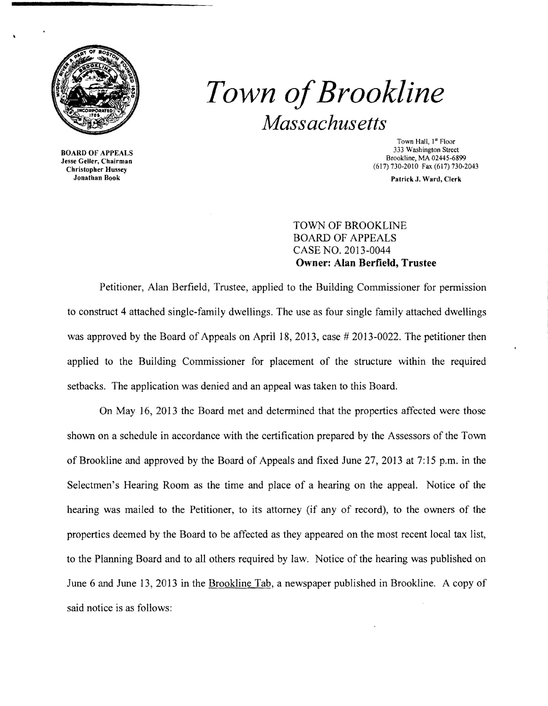

*Town ofBrookline Massachusetts* 

BOARD OF APPEALS Jesse Geller, Chairman Christopher Hussey Jonathan Book

Town Hall, 1" Floor 333 Washington Street Brookline, MA 02445-6899 (617) 730-2010 Fax (617) 730-2043

Patrick J. Ward, Clerk

## TOWN OF BROOKLINE BOARD OF APPEALS CASE NO. 2013-0044 **Owner: Alan Berfield, Trustee**

Petitioner, Alan Berfield, Trustee, applied to the Building Commissioner for permission to construct 4 attached single-family dwellings. The use as four single family attached dwellings was approved by the Board of Appeals on April 18, 2013, case # 2013-0022. The petitioner then applied to the Building Commissioner for placement of the structure within the required setbacks. The application was denied and an appeal was taken to this Board.

On May 16, 2013 the Board met and determined that the properties affected were those shown on a schedule in accordance with the certification prepared by the Assessors of the Town of Brookline and approved by the Board of Appeals and fixed June 27, 2013 at 7:15 p.m. in the Selectmen's Hearing Room as the time and place of a hearing on the appeal. Notice of the hearing was mailed to the Petitioner, to its attorney (if any of record), to the owners of the properties deemed by the Board to be affected as they appeared on the most recent local tax list, to the Planning Board and to all others required by law. Notice of the hearing was published on June 6 and June 13, 2013 in the Brookline Tab, a newspaper published in Brookline. A copy of said notice is as follows: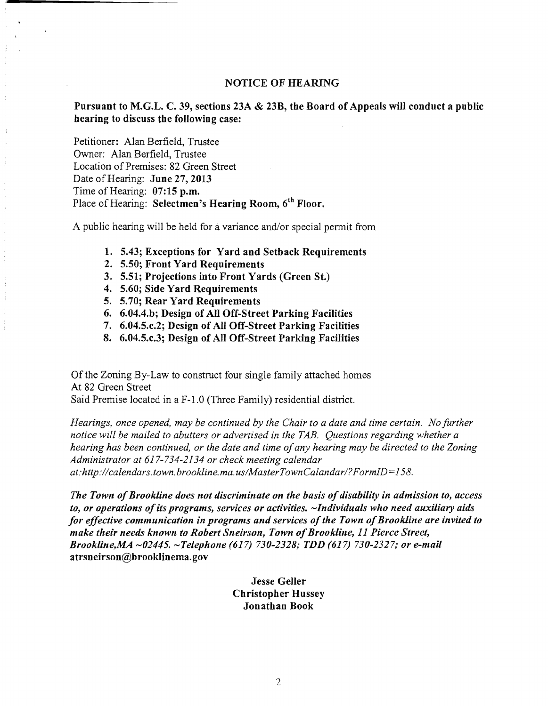## NOTICE OF HEARING

Pursuant to M.G.L. C. 39, sections 23A & 23B, the Board of Appeals will conduct a public hearing to discuss the following case:

Petitioner: Alan Berfield, Trustee Owner: Alan Berfield, Trustee Location of Premises: 82 Green Street Date of Hearing: June 27, 2013 Time of Hearing: 07:15 p.m. Place of Hearing: Selectmen's Hearing Room, 6<sup>th</sup> Floor.

A public hearing will be held for a variance and/or special permit from

- 1. 5.43; Exceptions for Yard and Setback Requirements
- 2. 5.50; Front Yard Requirements
- 3. 5.51; Projections into Front Yards (Green St.)
- 4. 5.60; Side Yard Requirements
- 5. 5.70; Rear Yard Requirements
- 6. 6.04.4.b; Design ofAll Off-Street Parking Facilities
- 7. 6.04.5.c.2; Design of All Off-Street Parking Facilities
- 8. 6.04.5.c.3; Design of All Off-Street Parking Facilities

Of the Zoning By-Law to construct four single family attached homes At 82 Green Street Said Premise located in a F-l.O (Three Family) residential district.

*Hearings, once opened, may be continued by the Chair to a date and time certain. No further notice will be mailed to abutters or advertised in the TAB. Questions regarding whether a hearing has been continued, or the date and time ofany hearing may be directed to the Zoning Administrator at* 617-734-2134 *or check meeting calendar at:http://calendars.town.brookline.ma.usIMasterTownCalandarl? F ormID= 158.* 

*The Town of Brookline does not discriminate on the basis of disability in admission to, access* to, or operations of its programs, services or activities.  $\sim$ Individuals who need auxiliary aids for effective communication in programs and services of the Town of Brookline are invited to *make their needs known to Robert Sneirsol'l, Town ofBrookline,* 11 *Pierce Street, Brookline,MA -02445. -Telephone* (617) *730-2328; TDD* (617) *730-2327; or e-mail*  atrsneirson@brooklinema.gov

> Jesse Geller Christopher Hussey Jonathan Book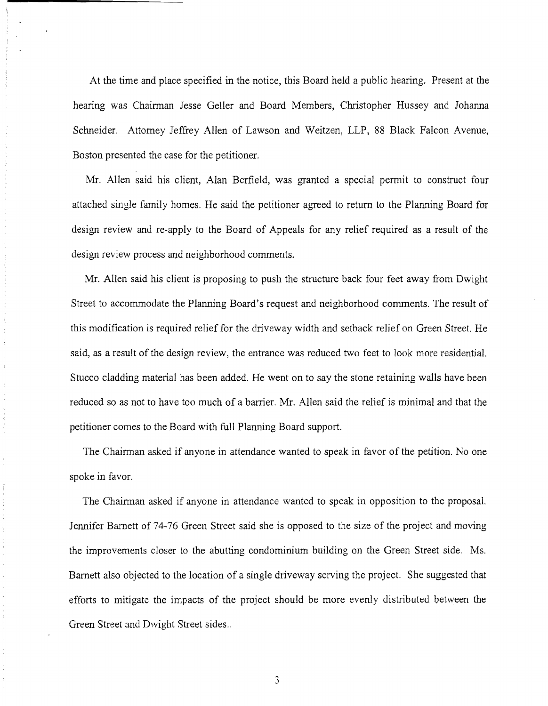At the time and place specified in the notice, this Board held a public hearing. Present at the hearing was Chairman Jesse Geller and Board Members, Christopher Hussey and Johanna Schneider. Attorney Jeffrey Allen of Lawson and Weitzen, LLP, 88 Black Falcon Avenue, Boston presented the case for the petitioner.

Mr. Allen said his client, Alan Berfield, was granted a special permit to construct four attached single family homes. He said the petitioner agreed to return to the Planning Board for design review and re-apply to the Board of Appeals for any relief required as a result of the design review process and neighborhood comments.

Mr. Allen said his client is proposing to push the structure back four feet away from Dwight Street to accommodate the Planning Board's request and neighborhood comments. The result of this modification is required relief for the driveway width and setback relief on Green Street. He said, as a result of the design review, the entrance was reduced two feet to look more residential. Stucco cladding material has been added. He went on to say the stone retaining walls have been reduced so as not to have too much of a barrier. Mr. Allen said the relief is minimal and that the petitioner comes to the Board with full Planning Board support.

 $\frac{1}{3}$  $\begin{array}{c} \mathcal{L}_1 \\ \mathcal{L}_2 \\ \mathcal{L}_3 \end{array}$ 

Ť.

The Chairman asked if anyone in attendance wanted to speak in favor of the petition. No one spoke in favor.

The Chairman asked if anyone in attendance wanted to speak in opposition to the proposal. Jennifer Barnett of 74-76 Green Street said she is opposed to the size of the project and moving the improvements closer to the abutting condominium building on the Green Street side. Ms. Barnett also objected to the location of a single driveway serving the project. She suggested that efforts to mitigate the impacts of the project should be more evenly distributed between the Green Street and Dwight Street sides ..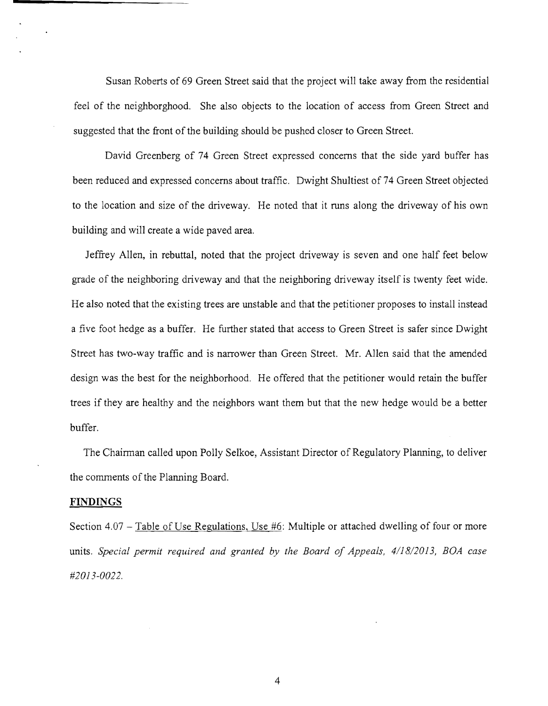Susan Roberts of 69 Green Street said that the project will take away from the residential feel of the neighborghood. She also objects to the location of access from Green Street and suggested that the front of the building should be pushed closer to Green Street.

David Greenberg of 74 Green Street expressed concerns that the side yard buffer has been reduced and expressed concerns about traffic. Dwight Shultiest of 74 Green Street objected to the location and size of the driveway. He noted that it runs along the driveway of his own building and will create a wide paved area.

Jeffrey Allen, in rebuttal, noted that the project driveway is seven and one half feet below grade of the neighboring driveway and that the neighboring driveway itself is twenty feet wide. He also noted that the existing trees are unstable and that the petitioner proposes to install instead a five foot hedge as a buffer. He further stated that access to Green Street is safer since Dwight Street has two-way traffic and is narrower than Green Street. Mr. Allen said that the amended design was the best for the neighborhood. He offered that the petitioner would retain the buffer trees if they are healthy and the neighbors want them but that the new hedge would be a better buffer.

The Chairman called upon Polly Selkoe, Assistant Director of Regulatory Planning, to deliver the comments of the Planning Board.

## **FINDINGS**

Section 4.07 - Table of Use Regulations. Use #6: Multiple or attached dwelling of four or more units. Special permit required and granted by the Board of Appeals, 4/18/2013, BOA case *#2013-0022.*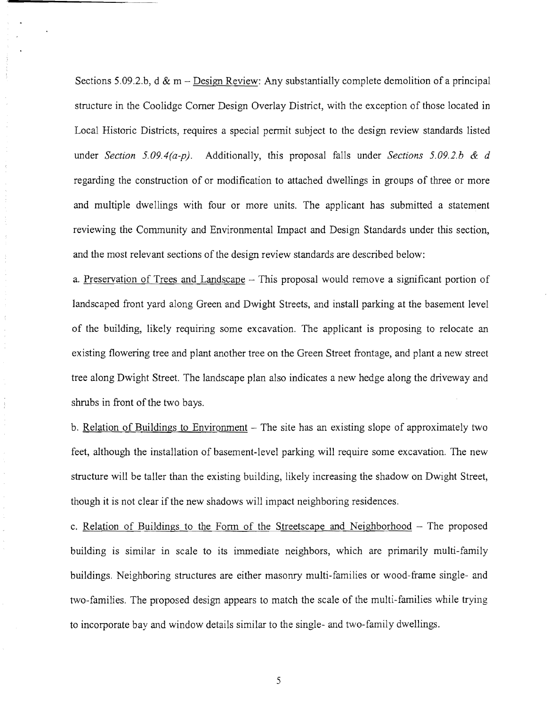Sections 5.09.2.b,  $d \& m -$ Design Review: Any substantially complete demolition of a principal structure in the Coolidge Comer Design Overlay District, with the exception of those located in Local Historic Districts, requires a special permit subject to the design review standards listed under *Section 5.09.4(a-p).* Additionally, this proposal falls under *Sections 5.09.2.h* & *d*  regarding the construction of or modification to attached dwellings in groups of three or more and multiple dwellings with four or more units. The applicant has submitted a statement reviewing the Community and Environmental Impact and Design Standards under this section, and the most relevant sections of the design review standards are described below:

 $\frac{1}{2}$  $\ddot{\mathrm{i}}$ 

> a. Preservation of Trees and Landscape – This proposal would remove a significant portion of landscaped front yard along Green and Dwight Streets, and install parking at the basement level of the building, likely requiring some excavation. The applicant is proposing to relocate an existing flowering tree and plant another tree on the Green Street frontage, and plant a new street tree along Dwight Street. The landscape plan also indicates a new hedge along the driveway and shrubs in front of the two bays.

> b. Relation of Buildings to Environment  $-$  The site has an existing slope of approximately two feet, although the installation of basement-level parking will require some excavation. The new structure will be taller than the existing building, likely increasing the shadow on Dwight Street, though it is not clear if the new shadows will impact neighboring residences.

> c. Relation of Buildings to the Form of the Streetscape and Neighborhood  $-$  The proposed building is similar in scale to its immediate neighbors, which are primarily multi-family buildings. Neighboring structures are either masonry multi-families or wood-frame single- and two-families. The proposed design appears to match the scale of the multi-families while trying to incorporate bay and window details similar to the single- and two-family dwellings.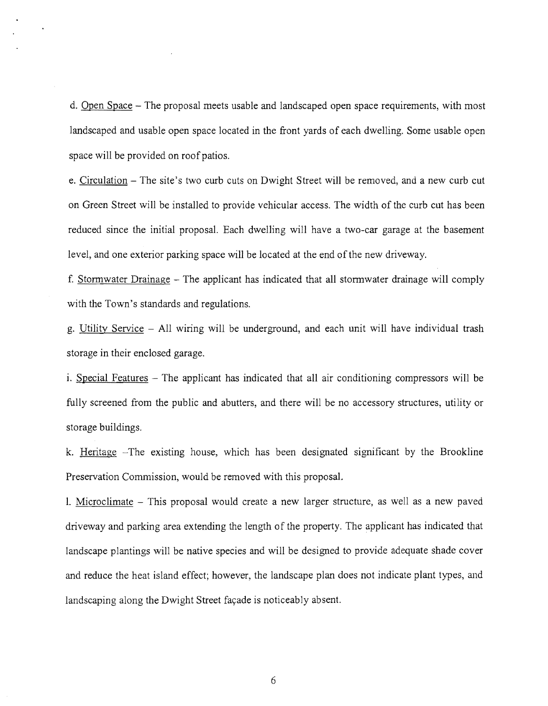d. Open Space – The proposal meets usable and landscaped open space requirements, with most landscaped and usable open space located in the front yards of each dwelling. Some usable open space will be provided on roof patios.

e. Circulation - The site's two curb cuts on Dwight Street will be removed, and a new curb cut on Green Street will be installed to provide vehicular access. The width of the curb cut has been reduced since the initial proposal. Each dwelling will have a two-car garage at the basement level, and one exterior parking space will be located at the end of the new driveway.

f. Stormwater Drainage - The applicant has indicated that all stormwater drainage will comply with the Town's standards and regulations.

g. Utility Service - All wiring will be underground, and each unit will have individual trash storage in their enclosed garage.

i. Special Features  $-$  The applicant has indicated that all air conditioning compressors will be fully screened from the public and abutters, and there will be no accessory structures, utility or storage buildings.

k. Heritage -The existing house, which has been designated significant by the Brookline Preservation Commission, would be removed with this proposal.

1. Microclimate - This proposal would create a new larger structure, as well as a new paved driveway and parking area extending the length of the property. The applicant has indicated that landscape plantings will be native species and will be designed to provide adequate shade cover and reduce the heat island effect; however, the landscape plan does not indicate plant types, and landscaping along the Dwight Street fayade is noticeably absent.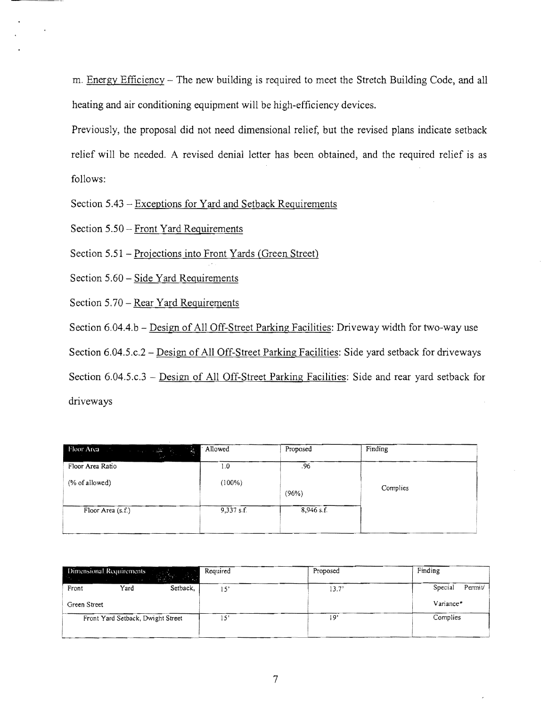m. Energy Efficiency – The new building is required to meet the Stretch Building Code, and all heating and air conditioning equipment will be high-efficiency devices.

Previously, the proposal did not need dimensional relief, but the revised plans indicate setback relief will be needed. A revised denial letter has been obtained, and the required relief is as follows:

Section 5.43 - Exceptions for Yard and Setback Requirements

Section 5.50 - Front Yard Requirements

Section 5.51 - Projections into Front Yards (Green Street)

Section 5.60 - Side Yard Requirements

Section 5.70 – Rear Yard Requirements

Section 6.04.4.b - Design of All Off-Street Parking Facilities: Driveway width for two-way use

Section 6.04.5.c.2 - Design of All Off-Street Parking Facilities: Side yard setback for driveways

Section  $6.04.5.c.3$  – Design of All Off-Street Parking Facilities: Side and rear yard setback for driveways

| <b>Floor Area</b> (1988) and the size of $\frac{1}{2}$<br>- 동 | Allowed    | Proposed     | Finding  |
|---------------------------------------------------------------|------------|--------------|----------|
| Floor Area Ratio                                              | 1.0        | .96          |          |
| (% of allowed)                                                | (100%)     | (96%)        | Complies |
| Floor Area (s.f.)                                             | 9,337 s.f. | $8,946$ s.f. |          |

| Dimensional Requirements<br>V.<br><b>ANY</b> | Required | Proposed | Finding           |
|----------------------------------------------|----------|----------|-------------------|
| Setback,<br>Yard<br>Front                    | 15'      | 13.7'    | Permit<br>Special |
| Green Street                                 |          |          | Variance*         |
| Front Yard Setback, Dwight Street            | 15'      | 19'      | Complies          |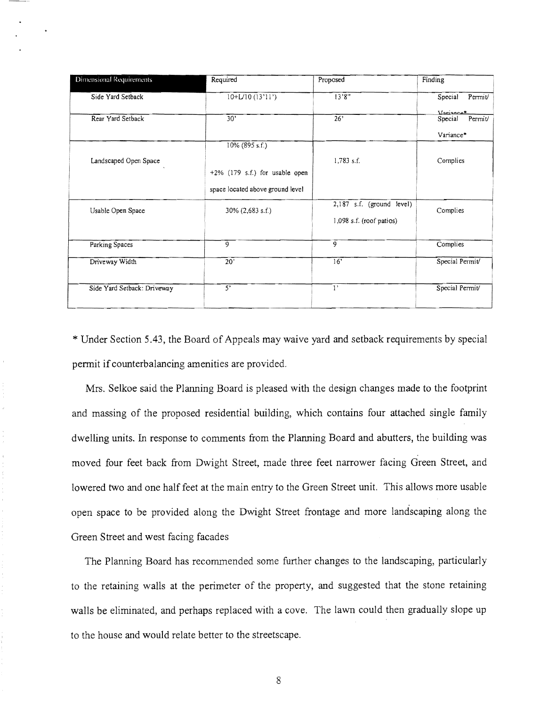| Dimensional Requirements    | Required                          | Proposed                   | Finding            |
|-----------------------------|-----------------------------------|----------------------------|--------------------|
| Side Yard Setback           | $10+L/10(13'11')$                 | 13'8''                     | Special<br>Permit/ |
|                             |                                   |                            | Variance*          |
| Rear Yard Setback           | 30'                               | 26 <sup>2</sup>            | Special<br>Permit/ |
|                             |                                   |                            | Variance*          |
|                             | 10% (895 s.f.)                    |                            |                    |
| Landscaped Open Space       |                                   | 1,783 s.f.                 | Complies           |
|                             | $+2\%$ (179 s.f.) for usable open |                            |                    |
|                             | space located above ground level  |                            |                    |
| Usable Open Space           | 30% (2,683 s.f.)                  | 2,187 s.f. (ground level)  | Complies           |
|                             |                                   | $1,098$ s.f. (roof patios) |                    |
| Parking Spaces              | $\overline{9}$                    | $\overline{9}$             | Complies           |
| Driveway Width              | 20'                               | 16'                        | Special Permit/    |
| Side Yard Setback: Driveway | 5'                                | $\mathbf{1}$               | Special Permit/    |
|                             |                                   |                            |                    |

\* Under Section 5.43, the Board of Appeals may waive yard and setback requirements by special permit if counterbalancing amenities are provided.

Mrs. Selkoe said the Planning Board is pleased with the design changes made to the footprint and massing of the proposed residential building, which contains four attached single family dwelling units. In response to comments from the Planning Board and abutters, the building was moved four feet back from Dwight Street, made three feet narrower facing Green Street, and lowered two and one half feet at the main entry to the Green Street unit. This allows more usable open space to be provided along the Dwight Street frontage and more landscaping along the Green Street and west facing facades

The Planning Board has recommended some further changes to the landscaping, particularly to the retaining walls at the perimeter of the property, and suggested that the stone retaining walls be eliminated, and perhaps replaced with a cove. The lawn could then gradually slope up to the house and would relate better to the streetscape.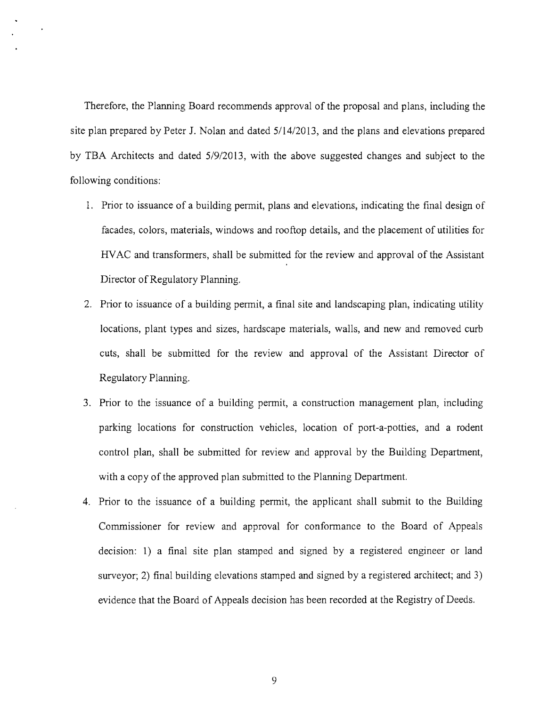Therefore, the Planning Board recommends approval of the proposal and plans, including the site plan prepared by Peter J. Nolan and dated 5114/2013, and the plans and elevations prepared by TBA Architects and dated 5/9/2013, with the above suggested changes and subject to the following conditions:

- 1. Prior to issuance of a building permit, plans and elevations, indicating the final design of facades, colors, materials, windows and rooftop details, and the placement of utilities for HV AC and transformers, shall be submitted for the review and approval of the Assistant Director of Regulatory Planning.
- 2. Prior to issuance of a building permit, a final site and landscaping plan, indicating utility locations, plant types and sizes, hardscape materials, walls, and new and removed curb cuts, shall be submitted for the review and approval of the Assistant Director of Regulatory Planning.
- 3. Prior to the issuance of a building permit, a construction management plan, including parking locations for construction vehicles, location of port-a-potties, and a rodent control plan, shall be submitted for review and approval by the Building Department, with a copy of the approved plan submitted to the Planning Department.
- 4. Prior to the issuance of a building permit, the applicant shall submit to the Building Commissioner for review and approval for conformance to the Board of Appeals decision: 1) a final site plan stamped and signed by a registered engineer or land surveyor; 2) final building elevations stamped and signed by a registered architect; and 3) evidence that the Board of Appeals decision has been recorded at the Registry of Deeds.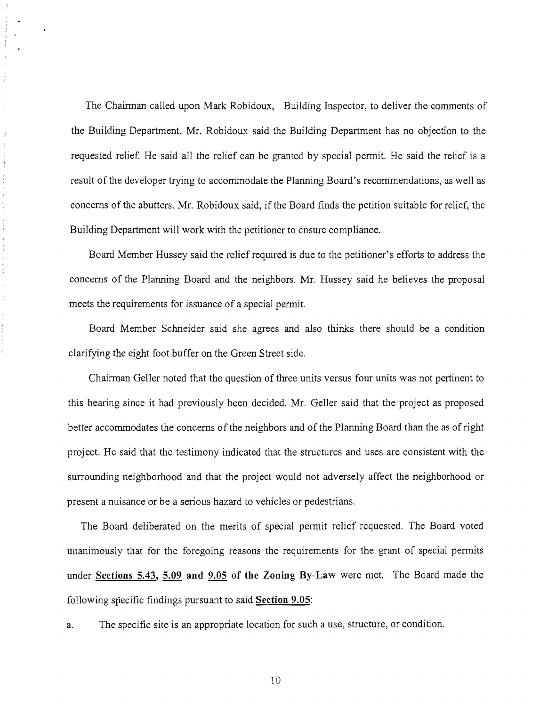The Chairman called upon Mark Robidoux, Building Inspector, to deliver the comments of the Building Department. Mr. Robidoux said the Building Department has no objection to the requested relief. He said all the relief can be granted by special permit. He said the relief is a result of the developer trying to accommodate the Plarming Board's recommendations, as well as concerns of the abutters. Mr. Robidoux said, if the Board finds the petition suitable for relief, the Building Department will work with the petitioner to ensure compliance.

Board Member Hussey said the relief required is due to the petitioner's efforts to address the concerns of the Plarming Board and the neighbors. Mr. Hussey said he believes the proposal meets the requirements for issuance of a special permit.

Board Member Schneider said she agrees and also thinks there should be a condition clarifying the eight foot buffer on the Green Street side.

Chairman Geller noted that the question of three units versus four units was not pertinent to this hearing since it had previously been decided. Mr. Geller said that the project as proposed better accommodates the concerns of the neighbors and of the Plarming Board than the as of right project. He said that the testimony indicated that the structures and uses are consistent with the surrounding neighborhood and that the project would not adversely affect the neighborhood or present a nuisance or be a serious hazard to vehicles or pedestrians.

The Board deliberated on the merits of special permit relief requested. The Board voted unanimously that for the foregoing reasons the requirements for the grant of special permits under Sections 5.43, 5.09 and 9.05 of the Zoning By-Law were met. The Board made the following specific findings pursuant to said Section 9.05:

a. The specific site is an appropriate location for such a use, structure, or condition.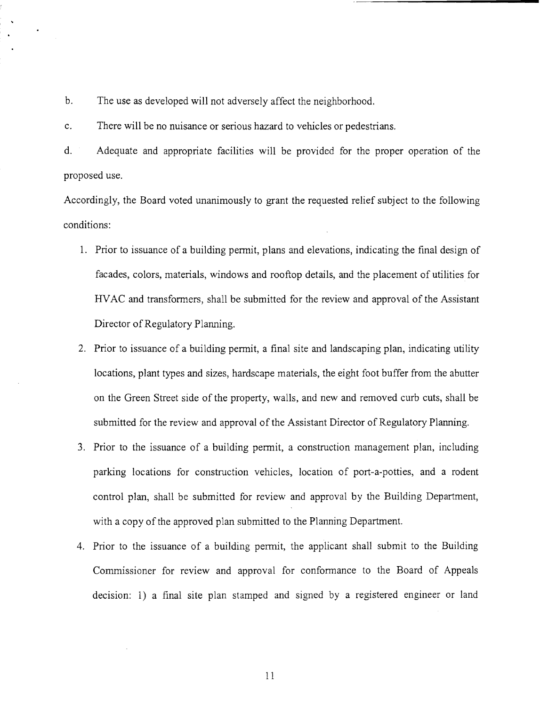b. The *use* as developed will not adversely affect the neighborhood.

c. There will be no nuisance or serious hazard to vehicles or pedestrians.

d. Adequate and appropriate facilities will be provided for the proper operation of the proposed use.

Accordingly, the Board voted unanimously to grant the requested relief subject to the following conditions:

- 1. Prior to issuance of a building permit, plans and elevations, indicating the final design of facades, colors, materials, windows and rooftop details, and the placement of utilities for HVAC and transformers, shall be submitted for the review and approval of the Assistant Director of Regulatory Planning.
- 2. Prior to issuance of a building permit, a final site and landscaping plan, indicating utility locations, plant types and sizes, hardscape materials, the eight foot buffer from the abutter on the Green Street side of the property, walls, and new and removed curb cuts, shall be submitted for the review and approval of the Assistant Director of Regulatory Planning.
- 3. Prior to the issuance of a building permit, a construction management plan, including parking locations for construction vehicles, location of port-a-potties, and a rodent control plan, shall be submitted for review and approval by the Building Department, with a copy of the approved plan submitted to the Planning Department.
- 4. Prior to the issuance of a building permit, the applicant shall submit to the Building Commissioner for review and approval for conformance to the Board of Appeals decision: 1) a final site plan stamped and signed by a registered engineer or land